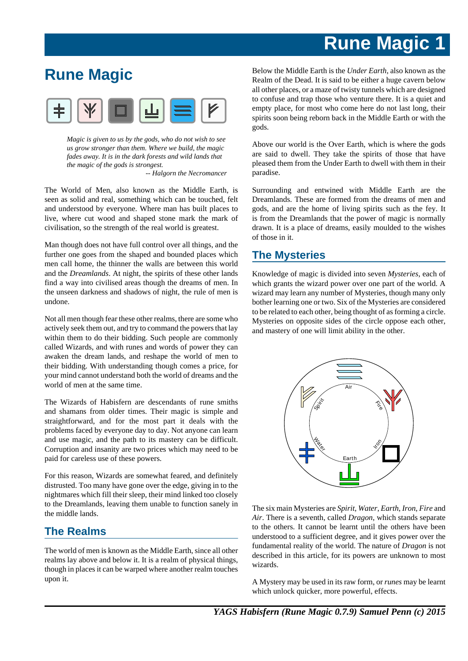## **Rune Magic**



*Magic is given to us by the gods, who do not wish to see us grow stronger than them. Where we build, the magic fades away. It is in the dark forests and wild lands that the magic of the gods is strongest.*

*-- Halgorn the Necromancer*

The World of Men, also known as the Middle Earth, is seen as solid and real, something which can be touched, felt and understood by everyone. Where man has built places to live, where cut wood and shaped stone mark the mark of civilisation, so the strength of the real world is greatest.

Man though does not have full control over all things, and the further one goes from the shaped and bounded places which men call home, the thinner the walls are between this world and the *Dreamlands*. At night, the spirits of these other lands find a way into civilised areas though the dreams of men. In the unseen darkness and shadows of night, the rule of men is undone.

Not all men though fear these other realms, there are some who actively seek them out, and try to command the powers that lay within them to do their bidding. Such people are commonly called Wizards, and with runes and words of power they can awaken the dream lands, and reshape the world of men to their bidding. With understanding though comes a price, for your mind cannot understand both the world of dreams and the world of men at the same time.

The Wizards of Habisfern are descendants of rune smiths and shamans from older times. Their magic is simple and straightforward, and for the most part it deals with the problems faced by everyone day to day. Not anyone can learn and use magic, and the path to its mastery can be difficult. Corruption and insanity are two prices which may need to be paid for careless use of these powers.

For this reason, Wizards are somewhat feared, and definitely distrusted. Too many have gone over the edge, giving in to the nightmares which fill their sleep, their mind linked too closely to the Dreamlands, leaving them unable to function sanely in the middle lands.

## **The Realms**

The world of men is known as the Middle Earth, since all other realms lay above and below it. It is a realm of physical things, though in places it can be warped where another realm touches upon it.

Below the Middle Earth is the *Under Earth*, also known as the Realm of the Dead. It is said to be either a huge cavern below all other places, or a maze of twisty tunnels which are designed to confuse and trap those who venture there. It is a quiet and empty place, for most who come here do not last long, their spirits soon being reborn back in the Middle Earth or with the gods.

Above our world is the Over Earth, which is where the gods are said to dwell. They take the spirits of those that have pleased them from the Under Earth to dwell with them in their paradise.

Surrounding and entwined with Middle Earth are the Dreamlands. These are formed from the dreams of men and gods, and are the home of living spirits such as the fey. It is from the Dreamlands that the power of magic is normally drawn. It is a place of dreams, easily moulded to the wishes of those in it.

## **The Mysteries**

Knowledge of magic is divided into seven *Mysteries*, each of which grants the wizard power over one part of the world. A wizard may learn any number of Mysteries, though many only bother learning one or two. Six of the Mysteries are considered to be related to each other, being thought of as forming a circle. Mysteries on opposite sides of the circle oppose each other, and mastery of one will limit ability in the other.



The six main Mysteries are *Spirit*, *Water*, *Earth*, *Iron*, *Fire* and *Air*. There is a seventh, called *Dragon*, which stands separate to the others. It cannot be learnt until the others have been understood to a sufficient degree, and it gives power over the fundamental reality of the world. The nature of *Dragon* is not described in this article, for its powers are unknown to most wizards.

A Mystery may be used in its raw form, or *runes* may be learnt which unlock quicker, more powerful, effects.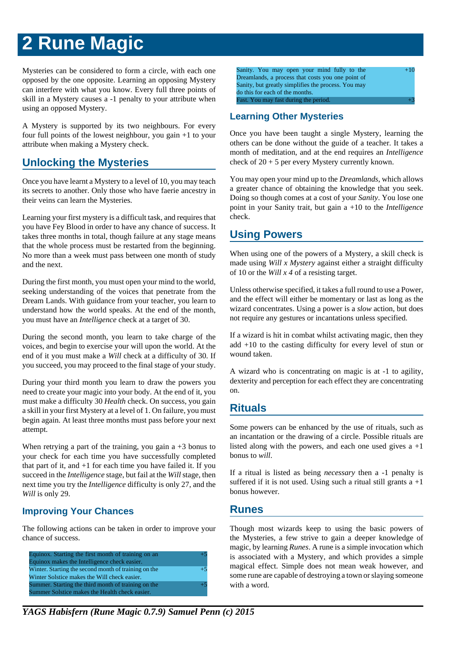Mysteries can be considered to form a circle, with each one opposed by the one opposite. Learning an opposing Mystery can interfere with what you know. Every full three points of skill in a Mystery causes a -1 penalty to your attribute when using an opposed Mystery.

A Mystery is supported by its two neighbours. For every four full points of the lowest neighbour, you gain +1 to your attribute when making a Mystery check.

## **Unlocking the Mysteries**

Once you have learnt a Mystery to a level of 10, you may teach its secrets to another. Only those who have faerie ancestry in their veins can learn the Mysteries.

Learning your first mystery is a difficult task, and requires that you have Fey Blood in order to have any chance of success. It takes three months in total, though failure at any stage means that the whole process must be restarted from the beginning. No more than a week must pass between one month of study and the next.

During the first month, you must open your mind to the world, seeking understanding of the voices that penetrate from the Dream Lands. With guidance from your teacher, you learn to understand how the world speaks. At the end of the month, you must have an *Intelligence* check at a target of 30.

During the second month, you learn to take charge of the voices, and begin to exercise your will upon the world. At the end of it you must make a *Will* check at a difficulty of 30. If you succeed, you may proceed to the final stage of your study.

During your third month you learn to draw the powers you need to create your magic into your body. At the end of it, you must make a difficulty 30 *Health* check. On success, you gain a skill in your first Mystery at a level of 1. On failure, you must begin again. At least three months must pass before your next attempt.

When retrying a part of the training, you gain  $a + 3$  bonus to your check for each time you have successfully completed that part of it, and +1 for each time you have failed it. If you succeed in the *Intelligence* stage, but fail at the *Will* stage, then next time you try the *Intelligence* difficulty is only 27, and the *Will* is only 29.

## **Improving Your Chances**

The following actions can be taken in order to improve your chance of success.

| Equinox. Starting the first month of training on an  | $+5$ |
|------------------------------------------------------|------|
| Equinox makes the Intelligence check easier.         |      |
| Winter. Starting the second month of training on the | $+5$ |
| Winter Solstice makes the Will check easier.         |      |
| Summer. Starting the third month of training on the  | $+5$ |
| Summer Solstice makes the Health check easier.       |      |

Sanity. You may open your mind fully to the Dreamlands, a process that costs you one point of Sanity, but greatly simplifies the process. You may do this for each of the months.  $+10$ Fast. You may fast during the period.

## **Learning Other Mysteries**

Once you have been taught a single Mystery, learning the others can be done without the guide of a teacher. It takes a month of meditation, and at the end requires an *Intelligence* check of 20 + 5 per every Mystery currently known.

You may open your mind up to the *Dreamlands*, which allows a greater chance of obtaining the knowledge that you seek. Doing so though comes at a cost of your *Sanity*. You lose one point in your Sanity trait, but gain a +10 to the *Intelligence* check.

## **Using Powers**

When using one of the powers of a Mystery, a skill check is made using *Will x Mystery* against either a straight difficulty of 10 or the *Will x 4* of a resisting target.

Unless otherwise specified, it takes a full round to use a Power, and the effect will either be momentary or last as long as the wizard concentrates. Using a power is a *slow* action, but does not require any gestures or incantations unless specified.

If a wizard is hit in combat whilst activating magic, then they add +10 to the casting difficulty for every level of stun or wound taken.

A wizard who is concentrating on magic is at -1 to agility, dexterity and perception for each effect they are concentrating on.

## **Rituals**

Some powers can be enhanced by the use of rituals, such as an incantation or the drawing of a circle. Possible rituals are listed along with the powers, and each one used gives  $a +1$ bonus to *will*.

If a ritual is listed as being *necessary* then a -1 penalty is suffered if it is not used. Using such a ritual still grants  $a +1$ bonus however.

## **Runes**

Though most wizards keep to using the basic powers of the Mysteries, a few strive to gain a deeper knowledge of magic, by learning *Runes*. A rune is a simple invocation which is associated with a Mystery, and which provides a simple magical effect. Simple does not mean weak however, and some rune are capable of destroying a town or slaying someone with a word.

*YAGS Habisfern (Rune Magic 0.7.9) Samuel Penn (c) 2015*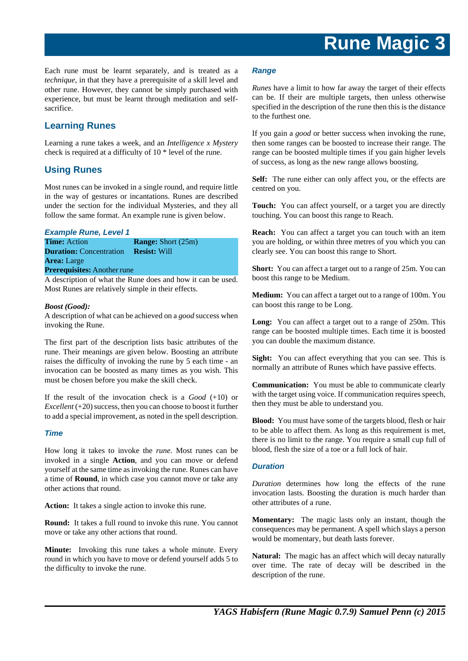Each rune must be learnt separately, and is treated as a *technique*, in that they have a prerequisite of a skill level and other rune. However, they cannot be simply purchased with experience, but must be learnt through meditation and selfsacrifice.

## **Learning Runes**

Learning a rune takes a week, and an *Intelligence x Mystery* check is required at a difficulty of 10 \* level of the rune.

## **Using Runes**

Most runes can be invoked in a single round, and require little in the way of gestures or incantations. Runes are described under the section for the individual Mysteries, and they all follow the same format. An example rune is given below.

### **Example Rune, Level 1**

**Time:** Action **Range:** Short (25m) **Duration:** Concentration **Resist:** Will **Area:** Large

## **Prerequisites:** Another rune

A description of what the Rune does and how it can be used. Most Runes are relatively simple in their effects.

#### *Boost (Good):*

A description of what can be achieved on a *good* success when invoking the Rune.

The first part of the description lists basic attributes of the rune. Their meanings are given below. Boosting an attribute raises the difficulty of invoking the rune by 5 each time - an invocation can be boosted as many times as you wish. This must be chosen before you make the skill check.

If the result of the invocation check is a *Good* (+10) or *Excellent* (+20) success, then you can choose to boost it further to add a special improvement, as noted in the spell description.

#### **Time**

How long it takes to invoke the *rune*. Most runes can be invoked in a single **Action**, and you can move or defend yourself at the same time as invoking the rune. Runes can have a time of **Round**, in which case you cannot move or take any other actions that round.

**Action:** It takes a single action to invoke this rune.

**Round:** It takes a full round to invoke this rune. You cannot move or take any other actions that round.

**Minute:** Invoking this rune takes a whole minute. Every round in which you have to move or defend yourself adds 5 to the difficulty to invoke the rune.

#### **Range**

*Runes* have a limit to how far away the target of their effects can be. If their are multiple targets, then unless otherwise specified in the description of the rune then this is the distance to the furthest one.

If you gain a *good* or better success when invoking the rune, then some ranges can be boosted to increase their range. The range can be boosted multiple times if you gain higher levels of success, as long as the new range allows boosting.

Self: The rune either can only affect you, or the effects are centred on you.

**Touch:** You can affect yourself, or a target you are directly touching. You can boost this range to Reach.

**Reach:** You can affect a target you can touch with an item you are holding, or within three metres of you which you can clearly see. You can boost this range to Short.

**Short:** You can affect a target out to a range of 25m. You can boost this range to be Medium.

**Medium:** You can affect a target out to a range of 100m. You can boost this range to be Long.

**Long:** You can affect a target out to a range of 250m. This range can be boosted multiple times. Each time it is boosted you can double the maximum distance.

**Sight:** You can affect everything that you can see. This is normally an attribute of Runes which have passive effects.

**Communication:** You must be able to communicate clearly with the target using voice. If communication requires speech, then they must be able to understand you.

**Blood:** You must have some of the targets blood, flesh or hair to be able to affect them. As long as this requirement is met, there is no limit to the range. You require a small cup full of blood, flesh the size of a toe or a full lock of hair.

## **Duration**

*Duration* determines how long the effects of the rune invocation lasts. Boosting the duration is much harder than other attributes of a rune.

**Momentary:** The magic lasts only an instant, though the consequences may be permanent. A spell which slays a person would be momentary, but death lasts forever.

**Natural:** The magic has an affect which will decay naturally over time. The rate of decay will be described in the description of the rune.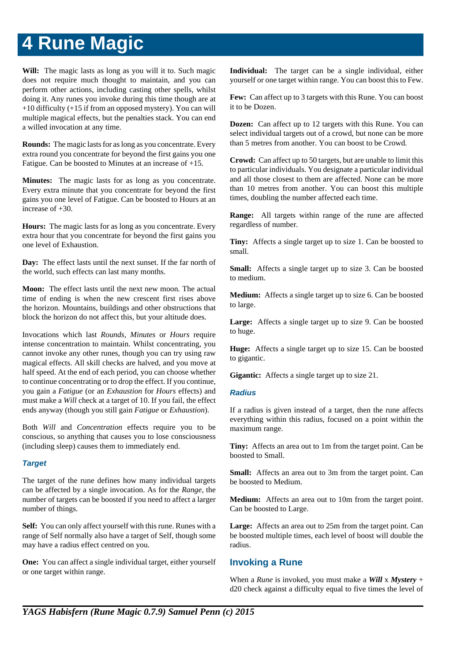Will: The magic lasts as long as you will it to. Such magic does not require much thought to maintain, and you can perform other actions, including casting other spells, whilst doing it. Any runes you invoke during this time though are at +10 difficulty (+15 if from an opposed mystery). You can will multiple magical effects, but the penalties stack. You can end a willed invocation at any time.

**Rounds:** The magic lasts for as long as you concentrate. Every extra round you concentrate for beyond the first gains you one Fatigue. Can be boosted to Minutes at an increase of +15.

**Minutes:** The magic lasts for as long as you concentrate. Every extra minute that you concentrate for beyond the first gains you one level of Fatigue. Can be boosted to Hours at an increase of +30.

**Hours:** The magic lasts for as long as you concentrate. Every extra hour that you concentrate for beyond the first gains you one level of Exhaustion.

**Day:** The effect lasts until the next sunset. If the far north of the world, such effects can last many months.

**Moon:** The effect lasts until the next new moon. The actual time of ending is when the new crescent first rises above the horizon. Mountains, buildings and other obstructions that block the horizon do not affect this, but your altitude does.

Invocations which last *Rounds*, *Minutes* or *Hours* require intense concentration to maintain. Whilst concentrating, you cannot invoke any other runes, though you can try using raw magical effects. All skill checks are halved, and you move at half speed. At the end of each period, you can choose whether to continue concentrating or to drop the effect. If you continue, you gain a *Fatigue* (or an *Exhaustion* for *Hours* effects) and must make a *Will* check at a target of 10. If you fail, the effect ends anyway (though you still gain *Fatigue* or *Exhaustion*).

Both *Will* and *Concentration* effects require you to be conscious, so anything that causes you to lose consciousness (including sleep) causes them to immediately end.

## **Target**

The target of the rune defines how many individual targets can be affected by a single invocation. As for the *Range*, the number of targets can be boosted if you need to affect a larger number of things.

**Self:** You can only affect yourself with this rune. Runes with a range of Self normally also have a target of Self, though some may have a radius effect centred on you.

**One:** You can affect a single individual target, either yourself or one target within range.

**Individual:** The target can be a single individual, either yourself or one target within range. You can boost this to Few.

**Few:** Can affect up to 3 targets with this Rune. You can boost it to be Dozen.

**Dozen:** Can affect up to 12 targets with this Rune. You can select individual targets out of a crowd, but none can be more than 5 metres from another. You can boost to be Crowd.

**Crowd:** Can affect up to 50 targets, but are unable to limit this to particular individuals. You designate a particular individual and all those closest to them are affected. None can be more than 10 metres from another. You can boost this multiple times, doubling the number affected each time.

**Range:** All targets within range of the rune are affected regardless of number.

**Tiny:** Affects a single target up to size 1. Can be boosted to small.

**Small:** Affects a single target up to size 3. Can be boosted to medium.

**Medium:** Affects a single target up to size 6. Can be boosted to large.

Large: Affects a single target up to size 9. Can be boosted to huge.

**Huge:** Affects a single target up to size 15. Can be boosted to gigantic.

**Gigantic:** Affects a single target up to size 21.

## **Radius**

If a radius is given instead of a target, then the rune affects everything within this radius, focused on a point within the maximum range.

**Tiny:** Affects an area out to 1m from the target point. Can be boosted to Small.

**Small:** Affects an area out to 3m from the target point. Can be boosted to Medium.

**Medium:** Affects an area out to 10m from the target point. Can be boosted to Large.

Large: Affects an area out to 25m from the target point. Can be boosted multiple times, each level of boost will double the radius.

## **Invoking a Rune**

When a *Rune* is invoked, you must make a *Will* x *Mystery* + d20 check against a difficulty equal to five times the level of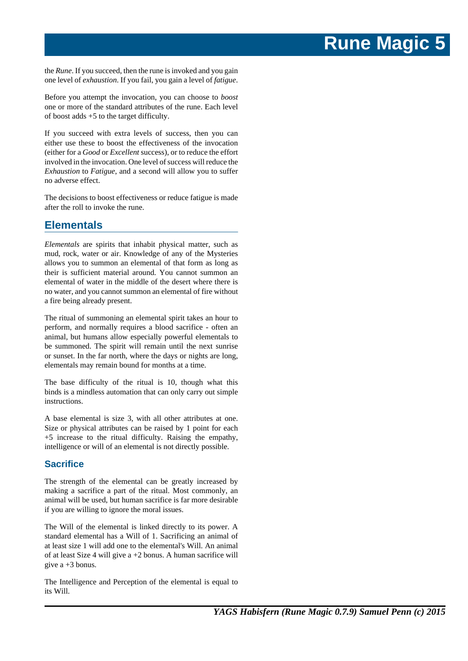the *Rune*. If you succeed, then the rune is invoked and you gain one level of *exhaustion*. If you fail, you gain a level of *fatigue*.

Before you attempt the invocation, you can choose to *boost* one or more of the standard attributes of the rune. Each level of boost adds +5 to the target difficulty.

If you succeed with extra levels of success, then you can either use these to boost the effectiveness of the invocation (either for a *Good* or *Excellent* success), or to reduce the effort involved in the invocation. One level of success will reduce the *Exhaustion* to *Fatigue*, and a second will allow you to suffer no adverse effect.

The decisions to boost effectiveness or reduce fatigue is made after the roll to invoke the rune.

## **Elementals**

*Elementals* are spirits that inhabit physical matter, such as mud, rock, water or air. Knowledge of any of the Mysteries allows you to summon an elemental of that form as long as their is sufficient material around. You cannot summon an elemental of water in the middle of the desert where there is no water, and you cannot summon an elemental of fire without a fire being already present.

The ritual of summoning an elemental spirit takes an hour to perform, and normally requires a blood sacrifice - often an animal, but humans allow especially powerful elementals to be summoned. The spirit will remain until the next sunrise or sunset. In the far north, where the days or nights are long, elementals may remain bound for months at a time.

The base difficulty of the ritual is 10, though what this binds is a mindless automation that can only carry out simple instructions.

A base elemental is size 3, with all other attributes at one. Size or physical attributes can be raised by 1 point for each +5 increase to the ritual difficulty. Raising the empathy, intelligence or will of an elemental is not directly possible.

## **Sacrifice**

The strength of the elemental can be greatly increased by making a sacrifice a part of the ritual. Most commonly, an animal will be used, but human sacrifice is far more desirable if you are willing to ignore the moral issues.

The Will of the elemental is linked directly to its power. A standard elemental has a Will of 1. Sacrificing an animal of at least size 1 will add one to the elemental's Will. An animal of at least Size 4 will give a +2 bonus. A human sacrifice will give  $a + 3$  bonus.

The Intelligence and Perception of the elemental is equal to its Will.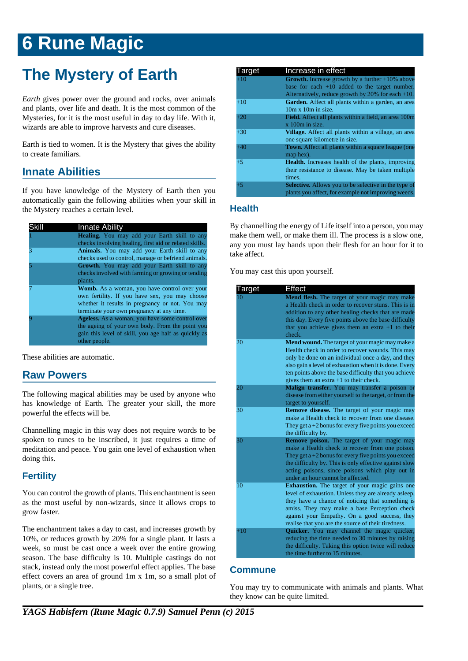## **The Mystery of Earth**

*Earth* gives power over the ground and rocks, over animals and plants, over life and death. It is the most common of the Mysteries, for it is the most useful in day to day life. With it, wizards are able to improve harvests and cure diseases.

Earth is tied to women. It is the Mystery that gives the ability to create familiars.

## **Innate Abilities**

If you have knowledge of the Mystery of Earth then you automatically gain the following abilities when your skill in the Mystery reaches a certain level.

| Skill | <b>Innate Ability</b>                                                                                                                                                                          |
|-------|------------------------------------------------------------------------------------------------------------------------------------------------------------------------------------------------|
|       | <b>Healing.</b> You may add your Earth skill to any<br>checks involving healing, first aid or related skills.                                                                                  |
|       | Animals. You may add your Earth skill to any<br>checks used to control, manage or befriend animals.                                                                                            |
|       | Growth. You may add your Earth skill to any<br>checks involved with farming or growing or tending<br>plants.                                                                                   |
|       | Womb. As a woman, you have control over your<br>own fertility. If you have sex, you may choose<br>whether it results in pregnancy or not. You may<br>terminate your own pregnancy at any time. |
|       | Ageless. As a woman, you have some control over<br>the ageing of your own body. From the point you<br>gain this level of skill, you age half as quickly as<br>other people.                    |

These abilities are automatic.

## **Raw Powers**

The following magical abilities may be used by anyone who has knowledge of Earth. The greater your skill, the more powerful the effects will be.

Channelling magic in this way does not require words to be spoken to runes to be inscribed, it just requires a time of meditation and peace. You gain one level of exhaustion when doing this.

## **Fertility**

You can control the growth of plants. This enchantment is seen as the most useful by non-wizards, since it allows crops to grow faster.

The enchantment takes a day to cast, and increases growth by 10%, or reduces growth by 20% for a single plant. It lasts a week, so must be cast once a week over the entire growing season. The base difficulty is 10. Multiple castings do not stack, instead only the most powerful effect applies. The base effect covers an area of ground 1m x 1m, so a small plot of plants, or a single tree.

| Target | Increase in effect                                           |
|--------|--------------------------------------------------------------|
| $+10$  | <b>Growth.</b> Increase growth by a further $+10\%$ above    |
|        | base for each $+10$ added to the target number.              |
|        | Alternatively, reduce growth by $20\%$ for each $+10$ .      |
| $+10$  | Garden. Affect all plants within a garden, an area           |
|        | $10m \times 10m$ in size.                                    |
| $+20$  | <b>Field.</b> Affect all plants within a field, an area 100m |
|        | $x$ 100 $m$ in size.                                         |
| $+30$  | Village. Affect all plants within a village, an area         |
|        | one square kilometre in size.                                |
| $+40$  | <b>Town.</b> Affect all plants within a square league (one   |
|        | map hex).                                                    |
| $+5$   | <b>Health.</b> Increases health of the plants, improving     |
|        | their resistance to disease. May be taken multiple           |
|        | times.                                                       |
| $+5$   | <b>Selective.</b> Allows you to be selective in the type of  |
|        | plants you affect, for example not improving weeds.          |

## **Health**

By channelling the energy of Life itself into a person, you may make them well, or make them ill. The process is a slow one, any you must lay hands upon their flesh for an hour for it to take affect.

You may cast this upon yourself.

| Target | Effect                                                                                                    |
|--------|-----------------------------------------------------------------------------------------------------------|
|        | Mend flesh. The target of your magic may make                                                             |
|        | a Health check in order to recover stuns. This is in                                                      |
|        | addition to any other healing checks that are made                                                        |
|        | this day. Every five points above the base difficulty                                                     |
|        | that you achieve gives them an extra $+1$ to their                                                        |
|        | check.                                                                                                    |
| 20     | Mend wound. The target of your magic may make a                                                           |
|        | Health check in order to recover wounds. This may                                                         |
|        | only be done on an individual once a day, and they                                                        |
|        | also gain a level of exhaustion when it is done. Every                                                    |
|        | ten points above the base difficulty that you achieve                                                     |
|        | gives them an extra $+1$ to their check.                                                                  |
| 20     | Malign transfer. You may transfer a poison or<br>disease from either yourself to the target, or from the  |
|        | target to yourself.                                                                                       |
| 30     | Remove disease. The target of your magic may                                                              |
|        | make a Health check to recover from one disease.                                                          |
|        | They get $a + 2$ bonus for every five points you exceed                                                   |
|        | the difficulty by.                                                                                        |
| 30     | Remove poison. The target of your magic may                                                               |
|        | make a Health check to recover from one poison.                                                           |
|        | They get $a + 2$ bonus for every five points you exceed                                                   |
|        | the difficulty by. This is only effective against slow                                                    |
|        | acting poisons, since poisons which play out in                                                           |
|        | under an hour cannot be affected.                                                                         |
| 10     | <b>Exhaustion.</b> The target of your magic gains one                                                     |
|        | level of exhaustion. Unless they are already asleep,                                                      |
|        | they have a chance of noticing that something is                                                          |
|        | amiss. They may make a base Perception check                                                              |
|        | against your Empathy. On a good success, they                                                             |
|        | realise that you are the source of their tiredness.                                                       |
| $+10$  | Quicker. You may channel the magic quicker,                                                               |
|        | reducing the time needed to 30 minutes by raising<br>the difficulty. Taking this option twice will reduce |
|        | the time further to 15 minutes.                                                                           |
|        |                                                                                                           |

## **Commune**

You may try to communicate with animals and plants. What they know can be quite limited.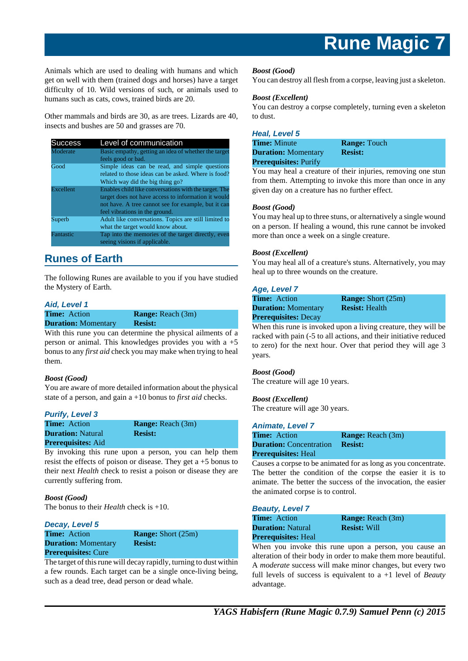Animals which are used to dealing with humans and which get on well with them (trained dogs and horses) have a target difficulty of 10. Wild versions of such, or animals used to humans such as cats, cows, trained birds are 20.

Other mammals and birds are 30, as are trees. Lizards are 40, insects and bushes are 50 and grasses are 70.

| <b>Success</b> | Level of communication                                |
|----------------|-------------------------------------------------------|
| Moderate       | Basic empathy, getting an idea of whether the target  |
|                | feels good or bad.                                    |
| Good           | Simple ideas can be read, and simple questions        |
|                | related to those ideas can be asked. Where is food?   |
|                | Which way did the big thing go?                       |
| Excellent      | Enables child like conversations with the target. The |
|                | target does not have access to information it would   |
|                | not have. A tree cannot see for example, but it can   |
|                | feel vibrations in the ground.                        |
| Superb         | Adult like conversations. Topics are still limited to |
|                | what the target would know about.                     |
| Fantastic      | Tap into the memories of the target directly, even    |
|                | seeing visions if applicable.                         |

## **Runes of Earth**

The following Runes are available to you if you have studied the Mystery of Earth.

## **Aid, Level 1**

| <b>Time:</b> Action        | <b>Range:</b> Reach (3m) |
|----------------------------|--------------------------|
| <b>Duration:</b> Momentary | <b>Resist:</b>           |

With this rune you can determine the physical ailments of a person or animal. This knowledges provides you with a  $+5$ bonus to any *first aid* check you may make when trying to heal them.

## *Boost (Good)*

You are aware of more detailed information about the physical state of a person, and gain a +10 bonus to *first aid* checks.

## **Purify, Level 3**

**Duration: Natural <b>Resist: Prerequisites:** Aid

**Time:** Action **Range:** Reach (3m)

By invoking this rune upon a person, you can help them resist the effects of poison or disease. They get  $a + 5$  bonus to their next *Health* check to resist a poison or disease they are currently suffering from.

#### *Boost (Good)*

The bonus to their *Health* check is +10.

**Decay, Level 5 Duration:** Momentary **Resist: Prerequisites:** Cure

**Time:** Action **Range:** Short (25m)

### The target of this rune will decay rapidly, turning to dust within a few rounds. Each target can be a single once-living being, such as a dead tree, dead person or dead whale.

### *Boost (Good)*

You can destroy all flesh from a corpse, leaving just a skeleton.

#### *Boost (Excellent)*

You can destroy a corpse completely, turning even a skeleton to dust.

#### **Heal, Level 5**

| <b>Time:</b> Minute          | <b>Range: Touch</b> |  |
|------------------------------|---------------------|--|
| <b>Duration:</b> Momentary   | <b>Resist:</b>      |  |
| <b>Prerequisites: Purify</b> |                     |  |

You may heal a creature of their injuries, removing one stun from them. Attempting to invoke this more than once in any given day on a creature has no further effect.

#### *Boost (Good)*

You may heal up to three stuns, or alternatively a single wound on a person. If healing a wound, this rune cannot be invoked more than once a week on a single creature.

### *Boost (Excellent)*

You may heal all of a creature's stuns. Alternatively, you may heal up to three wounds on the creature.

### **Age, Level 7**

| <b>Time:</b> Action         | <b>Range:</b> Short (25m) |
|-----------------------------|---------------------------|
| <b>Duration:</b> Momentary  | <b>Resist: Health</b>     |
| <b>Prerequisites: Decay</b> |                           |

When this rune is invoked upon a living creature, they will be racked with pain (-5 to all actions, and their initiative reduced to zero) for the next hour. Over that period they will age 3 years.

#### *Boost (Good)*

The creature will age 10 years.

#### *Boost (Excellent)*

The creature will age 30 years.

#### **Animate, Level 7**

| <b>Time:</b> Action            | <b>Range:</b> Reach (3m) |
|--------------------------------|--------------------------|
| <b>Duration:</b> Concentration | <b>Resist:</b>           |
| <b>Prerequisites: Heal</b>     |                          |

Causes a corpse to be animated for as long as you concentrate. The better the condition of the corpse the easier it is to animate. The better the success of the invocation, the easier the animated corpse is to control.

#### **Beauty, Level 7**

| <b>Time:</b> Action        | <b>Range:</b> Reach (3m) |
|----------------------------|--------------------------|
| <b>Duration:</b> Natural   | <b>Resist: Will</b>      |
| <b>Prerequisites: Heal</b> |                          |

When you invoke this rune upon a person, you cause an alteration of their body in order to make them more beautiful. A *moderate* success will make minor changes, but every two full levels of success is equivalent to a +1 level of *Beauty* advantage.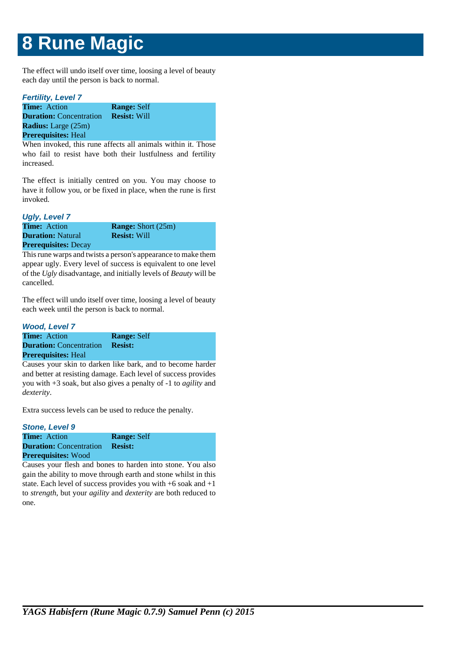The effect will undo itself over time, loosing a level of beauty each day until the person is back to normal.

## **Fertility, Level 7 Time:** Action **Range:** Self **Duration:** Concentration **Resist:** Will **Radius:** Large (25m) **Prerequisites:** Heal

When invoked, this rune affects all animals within it. Those who fail to resist have both their lustfulness and fertility increased.

The effect is initially centred on you. You may choose to have it follow you, or be fixed in place, when the rune is first invoked.

## **Ugly, Level 7**

| <b>Time:</b> Action         | <b>Range:</b> Short (25m) |
|-----------------------------|---------------------------|
| <b>Duration:</b> Natural    | <b>Resist: Will</b>       |
| <b>Prerequisites: Decay</b> |                           |

This rune warps and twists a person's appearance to make them appear ugly. Every level of success is equivalent to one level of the *Ugly* disadvantage, and initially levels of *Beauty* will be cancelled.

The effect will undo itself over time, loosing a level of beauty each week until the person is back to normal.

## **Wood, Level 7**

| <b>Time:</b> Action            | <b>Range: Self</b> |
|--------------------------------|--------------------|
| <b>Duration:</b> Concentration | <b>Resist:</b>     |
| <b>Prerequisites:</b> Heal     |                    |

Causes your skin to darken like bark, and to become harder and better at resisting damage. Each level of success provides you with +3 soak, but also gives a penalty of -1 to *agility* and *dexterity*.

Extra success levels can be used to reduce the penalty.

### **Stone, Level 9 Time:** Action **Range:** Self **Duration:** Concentration **Resist: Prerequisites:** Wood

Causes your flesh and bones to harden into stone. You also gain the ability to move through earth and stone whilst in this state. Each level of success provides you with +6 soak and +1 to *strength*, but your *agility* and *dexterity* are both reduced to one.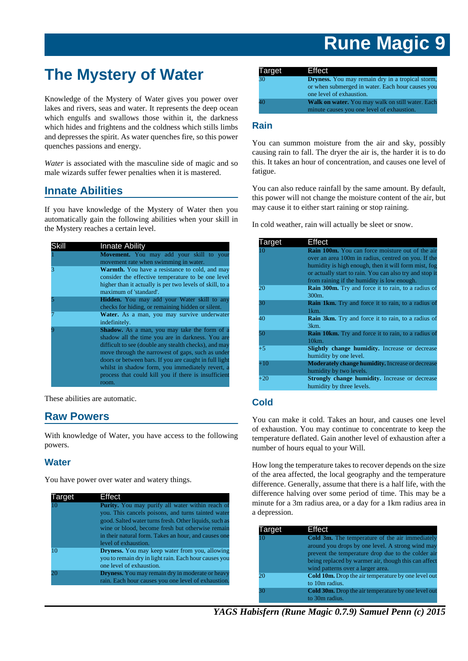## **The Mystery of Water**

Knowledge of the Mystery of Water gives you power over lakes and rivers, seas and water. It represents the deep ocean which engulfs and swallows those within it, the darkness which hides and frightens and the coldness which stills limbs and depresses the spirit. As water quenches fire, so this power quenches passions and energy.

*Water* is associated with the masculine side of magic and so male wizards suffer fewer penalties when it is mastered.

## **Innate Abilities**

If you have knowledge of the Mystery of Water then you automatically gain the following abilities when your skill in the Mystery reaches a certain level.

| Skill | <b>Innate Ability</b>                                                                                                                                                                                                                                                                                                                                                                         |
|-------|-----------------------------------------------------------------------------------------------------------------------------------------------------------------------------------------------------------------------------------------------------------------------------------------------------------------------------------------------------------------------------------------------|
|       | <b>Movement.</b> You may add your skill to your<br>movement rate when swimming in water.                                                                                                                                                                                                                                                                                                      |
| 3     | Warmth. You have a resistance to cold, and may<br>consider the effective temperature to be one level<br>higher than it actually is per two levels of skill, to a<br>maximum of 'standard'.                                                                                                                                                                                                    |
|       | <b>Hidden.</b> You may add your Water skill to any<br>checks for hiding, or remaining hidden or silent.                                                                                                                                                                                                                                                                                       |
|       | Water. As a man, you may survive underwater<br>indefinitely.                                                                                                                                                                                                                                                                                                                                  |
|       | Shadow. As a man, you may take the form of a<br>shadow all the time you are in darkness. You are<br>difficult to see (double any stealth checks), and may<br>move through the narrowest of gaps, such as under<br>doors or between bars. If you are caught in full light<br>whilst in shadow form, you immediately revert, a<br>process that could kill you if there is insufficient<br>room. |

These abilities are automatic.

## **Raw Powers**

With knowledge of Water, you have access to the following powers.

## **Water**

You have power over water and watery things.

| Target | Effect                                                                                                                                                                                                                                                                                                      |
|--------|-------------------------------------------------------------------------------------------------------------------------------------------------------------------------------------------------------------------------------------------------------------------------------------------------------------|
| 10     | <b>Purity.</b> You may purify all water within reach of<br>you. This cancels poisons, and turns tainted water<br>good. Salted water turns fresh. Other liquids, such as<br>wine or blood, become fresh but otherwise remain<br>in their natural form. Takes an hour, and causes one<br>level of exhaustion. |
| 10     | <b>Dryness.</b> You may keep water from you, allowing<br>you to remain dry in light rain. Each hour causes you<br>one level of exhaustion.                                                                                                                                                                  |
| 20     | <b>Dryness.</b> You may remain dry in moderate or heavy<br>rain. Each hour causes you one level of exhaustion.                                                                                                                                                                                              |

| <b>Target</b>   | Effect                                                  |
|-----------------|---------------------------------------------------------|
| 30              | <b>Dryness.</b> You may remain dry in a tropical storm, |
|                 | or when submerged in water. Each hour causes you        |
|                 | one level of exhaustion.                                |
| 10 <sup>1</sup> | Walk on water. You may walk on still water. Each        |
|                 | minute causes you one level of exhaustion.              |

## **Rain**

You can summon moisture from the air and sky, possibly causing rain to fall. The dryer the air is, the harder it is to do this. It takes an hour of concentration, and causes one level of fatigue.

You can also reduce rainfall by the same amount. By default, this power will not change the moisture content of the air, but may cause it to either start raining or stop raining.

In cold weather, rain will actually be sleet or snow.

| Target | Effect                                                     |
|--------|------------------------------------------------------------|
| 10     | <b>Rain 100m.</b> You can force moisture out of the air    |
|        | over an area 100m in radius, centred on you. If the        |
|        | humidity is high enough, then it will form mist, fog       |
|        | or actually start to rain. You can also try and stop it    |
|        | from raining if the humidity is low enough.                |
| 20     | <b>Rain 300m.</b> Try and force it to rain, to a radius of |
|        | 300m.                                                      |
| 30     | <b>Rain 1km.</b> Try and force it to rain, to a radius of  |
|        | 1km.                                                       |
| 40     | <b>Rain 3km.</b> Try and force it to rain, to a radius of  |
|        | 3km.                                                       |
| 50     | <b>Rain 10km.</b> Try and force it to rain, to a radius of |
|        | 10km.                                                      |
| $+5$   | <b>Slightly change humidity.</b> Increase or decrease      |
|        | humidity by one level.                                     |
| $+10$  | <b>Moderately change humidity.</b> Increase or decrease    |
|        | humidity by two levels.                                    |
| $+20$  | Strongly change humidity. Increase or decrease             |
|        | humidity by three levels.                                  |

## **Cold**

You can make it cold. Takes an hour, and causes one level of exhaustion. You may continue to concentrate to keep the temperature deflated. Gain another level of exhaustion after a number of hours equal to your Will.

How long the temperature takes to recover depends on the size of the area affected, the local geography and the temperature difference. Generally, assume that there is a half life, with the difference halving over some period of time. This may be a minute for a 3m radius area, or a day for a 1km radius area in a depression.

| Target         | Effect                                                                                                                                                                                                                                                        |
|----------------|---------------------------------------------------------------------------------------------------------------------------------------------------------------------------------------------------------------------------------------------------------------|
| 1 <sub>0</sub> | <b>Cold 3m.</b> The temperature of the air immediately<br>around you drops by one level. A strong wind may<br>prevent the temperature drop due to the colder air<br>being replaced by warmer air, though this can affect<br>wind patterns over a larger area. |
| 20             | <b>Cold 10m.</b> Drop the air temperature by one level out<br>to 10m radius.                                                                                                                                                                                  |
|                | <b>Cold 30m.</b> Drop the air temperature by one level out<br>to 30m radius.                                                                                                                                                                                  |

*YAGS Habisfern (Rune Magic 0.7.9) Samuel Penn (c) 2015*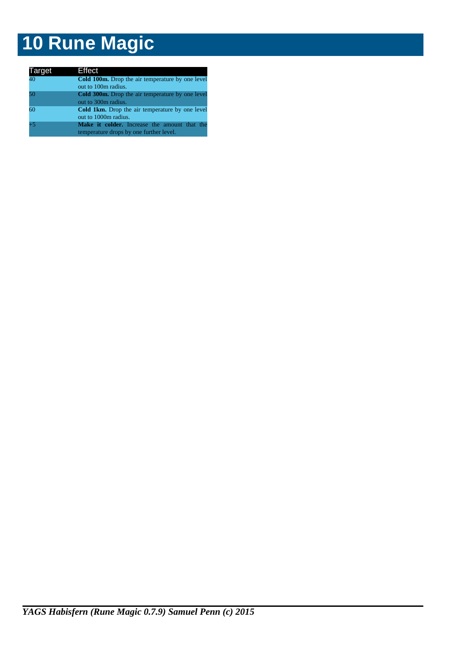| Target | Effect                                                  |
|--------|---------------------------------------------------------|
| 40     | <b>Cold 100m.</b> Drop the air temperature by one level |
|        | out to 100m radius.                                     |
| 50     | <b>Cold 300m.</b> Drop the air temperature by one level |
|        | out to 300m radius.                                     |
| 60     | <b>Cold 1km.</b> Drop the air temperature by one level  |
|        | out to 1000m radius.                                    |
| $+5$   | Make it colder. Increase the amount that the            |
|        | temperature drops by one further level.                 |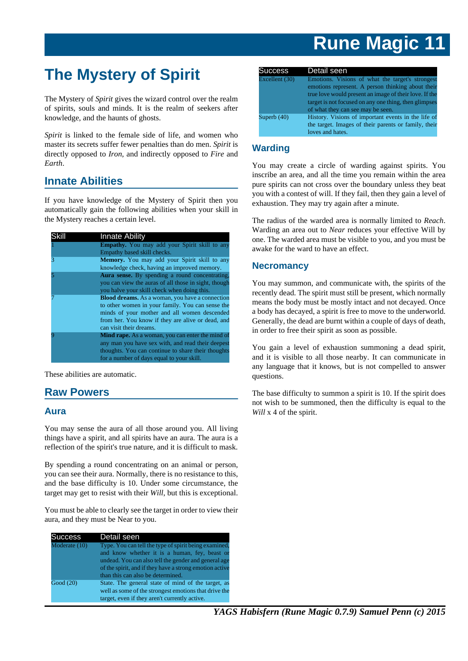## **The Mystery of Spirit**

The Mystery of *Spirit* gives the wizard control over the realm of spirits, souls and minds. It is the realm of seekers after knowledge, and the haunts of ghosts.

*Spirit* is linked to the female side of life, and women who master its secrets suffer fewer penalties than do men. *Spirit* is directly opposed to *Iron*, and indirectly opposed to *Fire* and *Earth*.

## **Innate Abilities**

If you have knowledge of the Mystery of Spirit then you automatically gain the following abilities when your skill in the Mystery reaches a certain level.

|   | <b>Innate Ability</b>                                   |
|---|---------------------------------------------------------|
|   | Empathy. You may add your Spirit skill to any           |
|   | Empathy based skill checks.                             |
| 3 | <b>Memory.</b> You may add your Spirit skill to any     |
|   | knowledge check, having an improved memory.             |
|   | Aura sense. By spending a round concentrating,          |
|   | you can view the auras of all those in sight, though    |
|   | you halve your skill check when doing this.             |
|   | <b>Blood dreams.</b> As a woman, you have a connection  |
|   | to other women in your family. You can sense the        |
|   | minds of your mother and all women descended            |
|   | from her. You know if they are alive or dead, and       |
|   | can visit their dreams.                                 |
|   | <b>Mind rape.</b> As a woman, you can enter the mind of |
|   | any man you have sex with, and read their deepest       |
|   | thoughts. You can continue to share their thoughts      |
|   | for a number of days equal to your skill.               |

These abilities are automatic.

## **Raw Powers**

## **Aura**

You may sense the aura of all those around you. All living things have a spirit, and all spirits have an aura. The aura is a reflection of the spirit's true nature, and it is difficult to mask.

By spending a round concentrating on an animal or person, you can see their aura. Normally, there is no resistance to this, and the base difficulty is 10. Under some circumstance, the target may get to resist with their *Will*, but this is exceptional.

You must be able to clearly see the target in order to view their aura, and they must be Near to you.

| Success       | Detail seen                                                                                                                                                                                                                                                    |
|---------------|----------------------------------------------------------------------------------------------------------------------------------------------------------------------------------------------------------------------------------------------------------------|
| Moderate (10) | Type. You can tell the type of spirit being examined,<br>and know whether it is a human, fey, beast or<br>undead. You can also tell the gender and general age<br>of the spirit, and if they have a strong emotion active<br>than this can also be determined. |
| Good (20)     | State. The general state of mind of the target, as<br>well as some of the strongest emotions that drive the<br>target, even if they aren't currently active.                                                                                                   |

| <b>Success</b> | Detail seen                                                                                                                                                                                                                                                   |
|----------------|---------------------------------------------------------------------------------------------------------------------------------------------------------------------------------------------------------------------------------------------------------------|
| Excellent (30) | Emotions. Visions of what the target's strongest<br>emotions represent. A person thinking about their<br>true love would present an image of their love. If the<br>target is not focused on any one thing, then glimpses<br>of what they can see may be seen. |
| Superb $(40)$  | History. Visions of important events in the life of<br>the target. Images of their parents or family, their<br>loves and hates.                                                                                                                               |

## **Warding**

You may create a circle of warding against spirits. You inscribe an area, and all the time you remain within the area pure spirits can not cross over the boundary unless they beat you with a contest of will. If they fail, then they gain a level of exhaustion. They may try again after a minute.

The radius of the warded area is normally limited to *Reach*. Warding an area out to *Near* reduces your effective Will by one. The warded area must be visible to you, and you must be awake for the ward to have an effect.

## **Necromancy**

You may summon, and communicate with, the spirits of the recently dead. The spirit must still be present, which normally means the body must be mostly intact and not decayed. Once a body has decayed, a spirit is free to move to the underworld. Generally, the dead are burnt within a couple of days of death, in order to free their spirit as soon as possible.

You gain a level of exhaustion summoning a dead spirit, and it is visible to all those nearby. It can communicate in any language that it knows, but is not compelled to answer questions.

The base difficulty to summon a spirit is 10. If the spirit does not wish to be summoned, then the difficulty is equal to the *Will* x 4 of the spirit.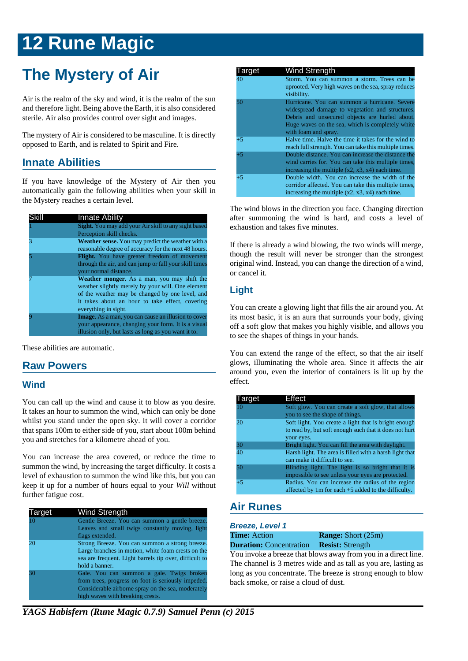## **The Mystery of Air**

Air is the realm of the sky and wind, it is the realm of the sun and therefore light. Being above the Earth, it is also considered sterile. Air also provides control over sight and images.

The mystery of Air is considered to be masculine. It is directly opposed to Earth, and is related to Spirit and Fire.

## **Innate Abilities**

If you have knowledge of the Mystery of Air then you automatically gain the following abilities when your skill in the Mystery reaches a certain level.

| Skill | <b>Innate Ability</b>                                                                                                                                                                                                                 |
|-------|---------------------------------------------------------------------------------------------------------------------------------------------------------------------------------------------------------------------------------------|
|       | <b>Sight.</b> You may add your Air skill to any sight based                                                                                                                                                                           |
|       | Perception skill checks.                                                                                                                                                                                                              |
|       | <b>Weather sense.</b> You may predict the weather with a<br>reasonable degree of accuracy for the next 48 hours.                                                                                                                      |
|       | <b>Flight.</b> You have greater freedom of movement<br>through the air, and can jump or fall your skill times<br>your normal distance.                                                                                                |
|       | <b>Weather monger.</b> As a man, you may shift the<br>weather slightly merely by your will. One element<br>of the weather may be changed by one level, and<br>it takes about an hour to take effect, covering<br>everything in sight. |
|       | <b>Image.</b> As a man, you can cause an illusion to cover<br>your appearance, changing your form. It is a visual<br>illusion only, but lasts as long as you want it to.                                                              |

These abilities are automatic.

## **Raw Powers**

## **Wind**

You can call up the wind and cause it to blow as you desire. It takes an hour to summon the wind, which can only be done whilst you stand under the open sky. It will cover a corridor that spans 100m to either side of you, start about 100m behind you and stretches for a kilometre ahead of you.

You can increase the area covered, or reduce the time to summon the wind, by increasing the target difficulty. It costs a level of exhaustion to summon the wind like this, but you can keep it up for a number of hours equal to your *Will* without further fatigue cost.

| Target | <b>Wind Strength</b>                                                                                                                                                                      |
|--------|-------------------------------------------------------------------------------------------------------------------------------------------------------------------------------------------|
| 10     | Gentle Breeze. You can summon a gentle breeze.<br>Leaves and small twigs constantly moving, light<br>flags extended.                                                                      |
| 20     | Strong Breeze. You can summon a strong breeze.<br>Large branches in motion, white foam crests on the<br>sea are frequent. Light barrels tip over, difficult to<br>hold a banner.          |
| 30     | Gale. You can summon a gale. Twigs broken<br>from trees, progress on foot is seriously impeded.<br>Considerable airborne spray on the sea, moderately<br>high waves with breaking crests. |

| Target | Wind Strength                                                                                                                                                                                                                  |
|--------|--------------------------------------------------------------------------------------------------------------------------------------------------------------------------------------------------------------------------------|
| 40     | Storm. You can summon a storm. Trees can be<br>uprooted. Very high waves on the sea, spray reduces<br>visibility.                                                                                                              |
| 50     | Hurricane. You can summon a hurricane. Severe<br>widespread damage to vegetation and structures.<br>Debris and unsecured objects are hurled about.<br>Huge waves on the sea, which is completely white<br>with foam and spray. |
| $+5$   | Halve time. Halve the time it takes for the wind to<br>reach full strength. You can take this multiple times.                                                                                                                  |
| $+5$   | Double distance. You can increase the distance the<br>wind carries for. You can take this multiple times,<br>increasing the multiple $(x2, x3, x4)$ each time.                                                                 |
| $+5$   | Double width. You can increase the width of the<br>corridor affected. You can take this multiple times,<br>increasing the multiple $(x2, x3, x4)$ each time.                                                                   |

The wind blows in the direction you face. Changing direction after summoning the wind is hard, and costs a level of exhaustion and takes five minutes.

If there is already a wind blowing, the two winds will merge, though the result will never be stronger than the strongest original wind. Instead, you can change the direction of a wind, or cancel it.

## **Light**

You can create a glowing light that fills the air around you. At its most basic, it is an aura that surrounds your body, giving off a soft glow that makes you highly visible, and allows you to see the shapes of things in your hands.

You can extend the range of the effect, so that the air itself glows, illuminating the whole area. Since it affects the air around you, even the interior of containers is lit up by the effect.

| Target | Effect                                                                                                       |
|--------|--------------------------------------------------------------------------------------------------------------|
| 10     | Soft glow. You can create a soft glow, that allows                                                           |
|        | you to see the shape of things.                                                                              |
| 20     | Soft light. You create a light that is bright enough                                                         |
|        | to read by, but soft enough such that it does not hurt                                                       |
|        | your eyes.                                                                                                   |
| 30     | Bright light. You can fill the area with daylight.                                                           |
| 40     | Harsh light. The area is filled with a harsh light that                                                      |
|        | can make it difficult to see.                                                                                |
| 50     | Blinding light. The light is so bright that it is                                                            |
|        | impossible to see unless your eyes are protected.                                                            |
| $+5$   | Radius. You can increase the radius of the region<br>affected by $1m$ for each $+5$ added to the difficulty. |

## **Air Runes**

**Breeze, Level 1**

**Time:** Action **Range:** Short (25m)

**Duration:** Concentration **Resist:** Strength

You invoke a breeze that blows away from you in a direct line. The channel is 3 metres wide and as tall as you are, lasting as long as you concentrate. The breeze is strong enough to blow back smoke, or raise a cloud of dust.

*YAGS Habisfern (Rune Magic 0.7.9) Samuel Penn (c) 2015*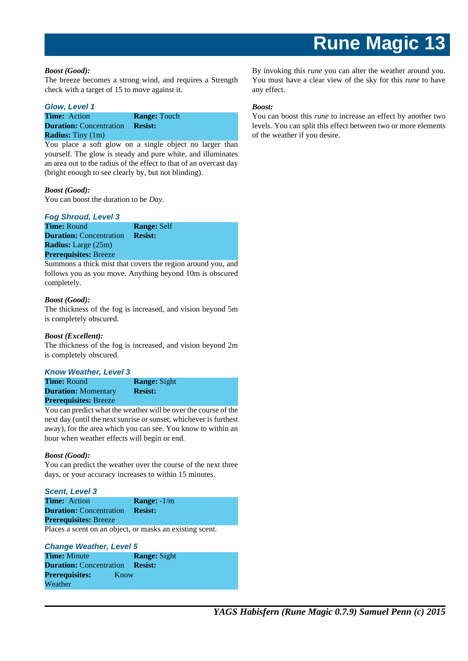#### *Boost (Good):*

The breeze becomes a strong wind, and requires a Strength check with a target of 15 to move against it.

#### **Glow, Level 1**

| <b>Time:</b> Action            | <b>Range:</b> Touch |
|--------------------------------|---------------------|
| <b>Duration:</b> Concentration | <b>Resist:</b>      |
| <b>Radius:</b> Tiny $(1m)$     |                     |

You place a soft glow on a single object no larger than yourself. The glow is steady and pure white, and illuminates an area out to the radius of the effect to that of an overcast day (bright enough to see clearly by, but not blinding).

### *Boost (Good):*

You can boost the duration to be *Day*.

#### **Fog Shroud, Level 3**

**Time:** Round **Range:** Self **Duration:** Concentration **Resist: Radius:** Large (25m) **Prerequisites:** Breeze

Summons a thick mist that covers the region around you, and follows you as you move. Anything beyond 10m is obscured completely.

### *Boost (Good):*

The thickness of the fog is increased, and vision beyond 5m is completely obscured.

#### *Boost (Excellent):*

The thickness of the fog is increased, and vision beyond 2m is completely obscured.

#### **Know Weather, Level 3**

**Time:** Round **Range:** Sight **Duration:** Momentary **Resist: Prerequisites:** Breeze

You can predict what the weather will be over the course of the next day (until the next sunrise or sunset, whichever is furthest away), for the area which you can see. You know to within an hour when weather effects will begin or end.

#### *Boost (Good):*

You can predict the weather over the course of the next three days, or your accuracy increases to within 15 minutes.

#### **Scent, Level 3**

| <b>Time:</b> Action            | <b>Range:</b> $-1/m$ |
|--------------------------------|----------------------|
| <b>Duration:</b> Concentration | <b>Resist:</b>       |
| <b>Prerequisites: Breeze</b>   |                      |
|                                |                      |

Places a scent on an object, or masks an existing scent.

#### **Change Weather, Level 5**

| <b>Time:</b> Minute            |      | <b>Range:</b> Sight |
|--------------------------------|------|---------------------|
| <b>Duration:</b> Concentration |      | <b>Resist:</b>      |
| <b>Prerequisites:</b>          | Know |                     |
| Weather                        |      |                     |

By invoking this *rune* you can alter the weather around you. You must have a clear view of the sky for this *rune* to have any effect.

#### *Boost:*

You can boost this *rune* to increase an effect by another two levels. You can split this effect between two or more elements of the weather if you desire.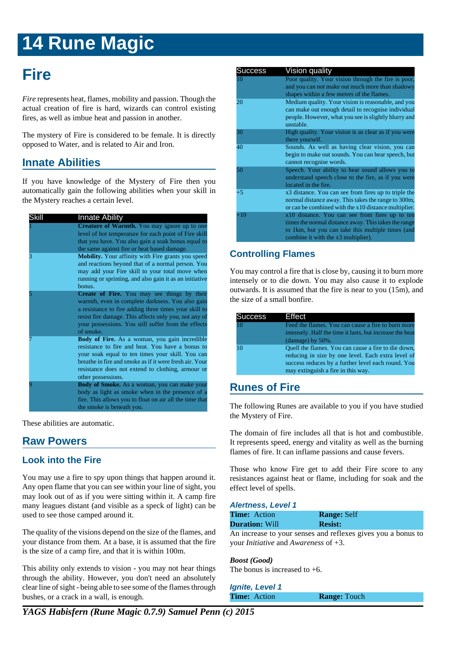## **Fire**

*Fire* represents heat, flames, mobility and passion. Though the actual creation of fire is hard, wizards can control existing fires, as well as imbue heat and passion in another.

The mystery of Fire is considered to be female. It is directly opposed to Water, and is related to Air and Iron.

## **Innate Abilities**

If you have knowledge of the Mystery of Fire then you automatically gain the following abilities when your skill in the Mystery reaches a certain level.

| Skill | <b>Innate Ability</b>                                                                                                                                                                                                                                                                              |
|-------|----------------------------------------------------------------------------------------------------------------------------------------------------------------------------------------------------------------------------------------------------------------------------------------------------|
|       | Creature of Warmth. You may ignore up to one<br>level of hot temperature for each point of Fire skill<br>that you have. You also gain a soak bonus equal to<br>the same against fire or heat based damage.                                                                                         |
| 3     | <b>Mobility.</b> Your affinity with Fire grants you speed<br>and reactions beyond that of a normal person. You<br>may add your Fire skill to your total move when<br>running or sprinting, and also gain it as an initiative<br>bonus.                                                             |
|       | <b>Create of Fire.</b> You may see things by their<br>warmth, even in complete darkness. You also gain<br>a resistance to fire adding three times your skill to<br>resist fire damage. This affects only you, not any of<br>your possessions. You still suffer from the effects<br>of smoke.       |
|       | <b>Body of Fire.</b> As a woman, you gain incredible<br>resistance to fire and heat. You have a bonus to<br>your soak equal to ten times your skill. You can<br>breathe in fire and smoke as if it were fresh air. Your<br>resistance does not extend to clothing, armour or<br>other possessions. |
|       | <b>Body of Smoke.</b> As a woman, you can make your<br>body as light as smoke when in the presence of a<br>fire. This allows you to float on air all the time that<br>the smoke is beneath you.                                                                                                    |

These abilities are automatic.

## **Raw Powers**

## **Look into the Fire**

You may use a fire to spy upon things that happen around it. Any open flame that you can see within your line of sight, you may look out of as if you were sitting within it. A camp fire many leagues distant (and visible as a speck of light) can be used to see those camped around it.

The quality of the visions depend on the size of the flames, and your distance from them. At a base, it is assumed that the fire is the size of a camp fire, and that it is within 100m.

This ability only extends to vision - you may not hear things through the ability. However, you don't need an absolutely clear line of sight - being able to see some of the flames through bushes, or a crack in a wall, is enough.

| <b>Success</b> | Vision quality                                                                                                                                                                                     |
|----------------|----------------------------------------------------------------------------------------------------------------------------------------------------------------------------------------------------|
| 10             | Poor quality. Your vision through the fire is poor,<br>and you can not make out much more than shadowy<br>shapes within a few metres of the flames.                                                |
| 20             | Medium quality. Your vision is reasonable, and you<br>can make out enough detail to recognise individual<br>people. However, what you see is slightly blurry and<br>unstable.                      |
| 30             | High quality. Your vision is as clear as if you were<br>there yourself.                                                                                                                            |
| 40             | Sounds. As well as having clear vision, you can<br>begin to make out sounds. You can hear speech, but<br>cannot recognise words.                                                                   |
| 50             | Speech. Your ability to hear sound allows you to<br>understand speech close to the fire, as if you were<br>located in the fire.                                                                    |
| +5             | x3 distance. You can see from fires up to triple the<br>normal distance away. This takes the range to 300m,<br>or can be combined with the x10 distance multiplier.                                |
| $+10$          | x10 distance. You can see from fires up to ten<br>times the normal distance away. This takes the range<br>to 1km, but you can take this multiple times (and<br>combine it with the x3 multiplier). |

## **Controlling Flames**

You may control a fire that is close by, causing it to burn more intensely or to die down. You may also cause it to explode outwards. It is assumed that the fire is near to you (15m), and the size of a small bonfire.

| Success | Effect                                                                                                                                                                                                |
|---------|-------------------------------------------------------------------------------------------------------------------------------------------------------------------------------------------------------|
| 10      | Feed the flames. You can cause a fire to burn more<br>intensely. Half the time it lasts, but increase the heat<br>(damage) by $50\%$ .                                                                |
| 10      | Quell the flames. You can cause a fire to die down,<br>reducing in size by one level. Each extra level of<br>success reduces by a further level each round. You<br>may extinguish a fire in this way. |

## **Runes of Fire**

The following Runes are available to you if you have studied the Mystery of Fire.

The domain of fire includes all that is hot and combustible. It represents speed, energy and vitality as well as the burning flames of fire. It can inflame passions and cause fevers.

Those who know Fire get to add their Fire score to any resistances against heat or flame, including for soak and the effect level of spells.

#### **Alertness, Level 1**

| <b>Time:</b> Action   | <b>Range: Self</b> |
|-----------------------|--------------------|
| <b>Duration:</b> Will | <b>Resist:</b>     |

An increase to your senses and reflexes gives you a bonus to your *Initiative* and *Awareness* of +3.

## *Boost (Good)*

The bonus is increased to  $+6$ .

**Ignite, Level 1 Time:** Action **Range:** Touch

*YAGS Habisfern (Rune Magic 0.7.9) Samuel Penn (c) 2015*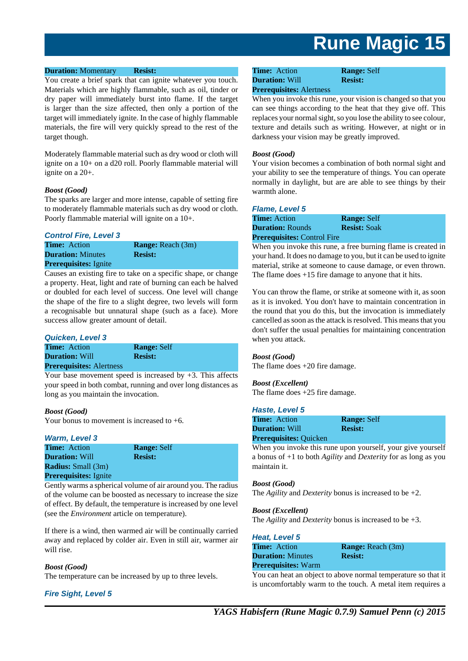#### **Duration:** Momentary **Resist:**

You create a brief spark that can ignite whatever you touch. Materials which are highly flammable, such as oil, tinder or dry paper will immediately burst into flame. If the target is larger than the size affected, then only a portion of the target will immediately ignite. In the case of highly flammable materials, the fire will very quickly spread to the rest of the target though.

Moderately flammable material such as dry wood or cloth will ignite on a 10+ on a d20 roll. Poorly flammable material will ignite on a 20+.

#### *Boost (Good)*

The sparks are larger and more intense, capable of setting fire to moderately flammable materials such as dry wood or cloth. Poorly flammable material will ignite on a 10+.

#### **Control Fire, Level 3**

**Time:** Action **Range:** Reach (3m) **Duration:** Minutes **Resist: Prerequisites:** Ignite

Causes an existing fire to take on a specific shape, or change a property. Heat, light and rate of burning can each be halved or doubled for each level of success. One level will change the shape of the fire to a slight degree, two levels will form a recognisable but unnatural shape (such as a face). More success allow greater amount of detail.

#### **Quicken, Level 3**

**Time:** Action **Range:** Self **Duration:** Will **Resist:** 

## **Prerequisites:** Alertness

Your base movement speed is increased by  $+3$ . This affects your speed in both combat, running and over long distances as long as you maintain the invocation.

#### *Boost (Good)*

Your bonus to movement is increased to  $+6$ .

#### **Warm, Level 3**

**Time:** Action **Range:** Self **Duration:** Will **Resist: Radius:** Small (3m) **Prerequisites:** Ignite

Gently warms a spherical volume of air around you. The radius of the volume can be boosted as necessary to increase the size of effect. By default, the temperature is increased by one level (see the *Environment* article on temperature).

If there is a wind, then warmed air will be continually carried away and replaced by colder air. Even in still air, warmer air will rise.

#### *Boost (Good)*

The temperature can be increased by up to three levels.

**Fire Sight, Level 5**

## **Time:** Action **Range:** Self **Duration:** Will **Resist:**

**Prerequisites:** Alertness

When you invoke this rune, your vision is changed so that you can see things according to the heat that they give off. This replaces your normal sight, so you lose the ability to see colour, texture and details such as writing. However, at night or in darkness your vision may be greatly improved.

#### *Boost (Good)*

Your vision becomes a combination of both normal sight and your ability to see the temperature of things. You can operate normally in daylight, but are are able to see things by their warmth alone.

#### **Flame, Level 5**

**Time:** Action **Range:** Self **Duration: Rounds <b>Resist: Soak Prerequisites:** Control Fire

When you invoke this rune, a free burning flame is created in your hand. It does no damage to you, but it can be used to ignite material, strike at someone to cause damage, or even thrown. The flame does +15 fire damage to anyone that it hits.

You can throw the flame, or strike at someone with it, as soon as it is invoked. You don't have to maintain concentration in the round that you do this, but the invocation is immediately cancelled as soon as the attack is resolved. This means that you don't suffer the usual penalties for maintaining concentration when you attack.

#### *Boost (Good)*

The flame does +20 fire damage.

#### *Boost (Excellent)*

The flame does +25 fire damage.

#### **Haste, Level 5**

| <b>Time:</b> Action           | <b>Range: Self</b> |
|-------------------------------|--------------------|
| <b>Duration: Will</b>         | <b>Resist:</b>     |
| <b>Prerequisites: Quicken</b> |                    |

When you invoke this rune upon yourself, your give yourself a bonus of +1 to both *Agility* and *Dexterity* for as long as you maintain it.

#### *Boost (Good)*

The *Agility* and *Dexterity* bonus is increased to be +2.

#### *Boost (Excellent)*

The *Agility* and *Dexterity* bonus is increased to be +3.

| <b>Heat, Level 5</b>       |                          |
|----------------------------|--------------------------|
| <b>Time:</b> Action        | <b>Range:</b> Reach (3m) |
| <b>Duration:</b> Minutes   | <b>Resist:</b>           |
| <b>Prerequisites:</b> Warm |                          |

You can heat an object to above normal temperature so that it is uncomfortably warm to the touch. A metal item requires a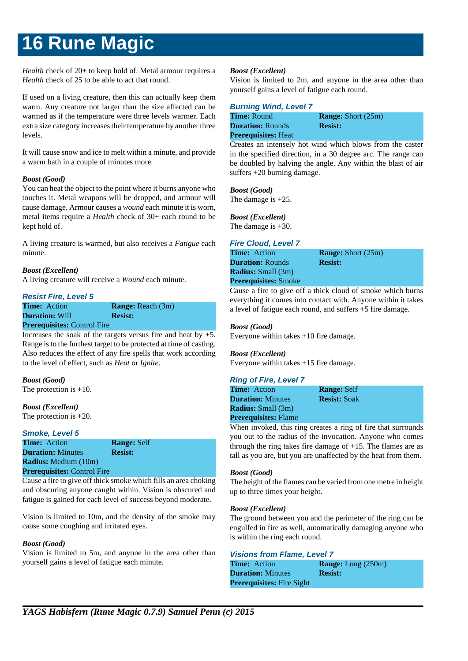*Health* check of 20+ to keep hold of. Metal armour requires a *Health* check of 25 to be able to act that round.

If used on a living creature, then this can actually keep them warm. Any creature not larger than the size affected can be warmed as if the temperature were three levels warmer. Each extra size category increases their temperature by another three levels.

It will cause snow and ice to melt within a minute, and provide a warm bath in a couple of minutes more.

### *Boost (Good)*

You can heat the object to the point where it burns anyone who touches it. Metal weapons will be dropped, and armour will cause damage. Armour causes a *wound* each minute it is worn, metal items require a *Health* check of 30+ each round to be kept hold of.

A living creature is warmed, but also receives a *Fatigue* each minute.

### *Boost (Excellent)*

A living creature will receive a *Wound* each minute.

### **Resist Fire, Level 5**

**Time:** Action **Range:** Reach (3m) **Duration:** Will **Resist: Prerequisites:** Control Fire

Increases the soak of the targets versus fire and heat by  $+5$ . Range is to the furthest target to be protected at time of casting. Also reduces the effect of any fire spells that work according to the level of effect, such as *Heat* or *Ignite*.

*Boost (Good)* The protection is +10.

*Boost (Excellent)*

The protection is +20.

#### **Smoke, Level 5**

**Time:** Action **Range:** Self **Duration:** Minutes **Resist: Radius:** Medium (10m) **Prerequisites:** Control Fire

Cause a fire to give off thick smoke which fills an area choking and obscuring anyone caught within. Vision is obscured and fatigue is gained for each level of success beyond moderate.

Vision is limited to 10m, and the density of the smoke may cause some coughing and irritated eyes.

## *Boost (Good)*

Vision is limited to 5m, and anyone in the area other than yourself gains a level of fatigue each minute.

## *Boost (Excellent)*

Vision is limited to 2m, and anyone in the area other than yourself gains a level of fatigue each round.

### **Burning Wind, Level 7**

| <b>Time: Round</b>         | <b>Range:</b> Short (25m) |
|----------------------------|---------------------------|
| <b>Duration: Rounds</b>    | <b>Resist:</b>            |
| <b>Prerequisites: Heat</b> |                           |

Creates an intensely hot wind which blows from the caster in the specified direction, in a 30 degree arc. The range can be doubled by halving the angle. Any within the blast of air suffers +20 burning damage.

*Boost (Good)* The damage is +25.

*Boost (Excellent)* The damage is +30.

## **Fire Cloud, Level 7**

| <b>Time:</b> Action         | <b>Range:</b> Short (25m) |
|-----------------------------|---------------------------|
| <b>Duration: Rounds</b>     | <b>Resist:</b>            |
| <b>Radius:</b> Small (3m)   |                           |
| <b>Prerequisites:</b> Smoke |                           |
|                             |                           |

Cause a fire to give off a thick cloud of smoke which burns everything it comes into contact with. Anyone within it takes a level of fatigue each round, and suffers +5 fire damage.

## *Boost (Good)*

Everyone within takes +10 fire damage.

## *Boost (Excellent)*

Everyone within takes +15 fire damage.

## **Ring of Fire, Level 7**

| <b>Time:</b> Action         | <b>Range: Self</b>                                                                                                                                                                                                                  |
|-----------------------------|-------------------------------------------------------------------------------------------------------------------------------------------------------------------------------------------------------------------------------------|
| <b>Duration:</b> Minutes    | <b>Resist:</b> Soak                                                                                                                                                                                                                 |
| <b>Radius:</b> Small (3m)   |                                                                                                                                                                                                                                     |
| <b>Prerequisites:</b> Flame |                                                                                                                                                                                                                                     |
|                             | <b>WILL CONTROLLED TO ALL CONTROLLED AT A CONTROLLED AT A CONTROLLED AT A CONTROLLED AT A CONTROLLED AT A CONTROLLED AT A CONTROLLED AT A CONTROLLED AT A CONTROLLED AT A CONTROLLED AT A CONTROLLED AT A CONTROLLED AT A CONTR</b> |

When invoked, this ring creates a ring of fire that surrounds you out to the radius of the invocation. Anyone who comes through the ring takes fire damage of  $+15$ . The flames are as tall as you are, but you are unaffected by the heat from them.

#### *Boost (Good)*

The height of the flames can be varied from one metre in height up to three times your height.

#### *Boost (Excellent)*

The ground between you and the perimeter of the ring can be engulfed in fire as well, automatically damaging anyone who is within the ring each round.

## **Visions from Flame, Level 7**

| <b>Time:</b> Action              | <b>Range:</b> Long $(250m)$ |
|----------------------------------|-----------------------------|
| <b>Duration:</b> Minutes         | <b>Resist:</b>              |
| <b>Prerequisites:</b> Fire Sight |                             |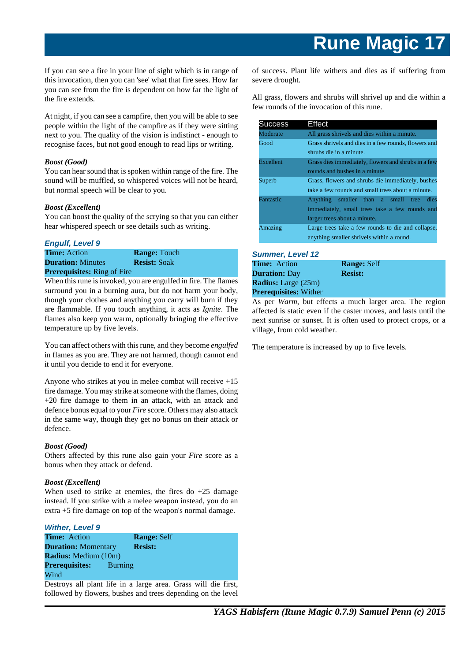If you can see a fire in your line of sight which is in range of this invocation, then you can 'see' what that fire sees. How far you can see from the fire is dependent on how far the light of the fire extends.

At night, if you can see a campfire, then you will be able to see people within the light of the campfire as if they were sitting next to you. The quality of the vision is indistinct - enough to recognise faces, but not good enough to read lips or writing.

### *Boost (Good)*

You can hear sound that is spoken within range of the fire. The sound will be muffled, so whispered voices will not be heard, but normal speech will be clear to you.

#### *Boost (Excellent)*

You can boost the quality of the scrying so that you can either hear whispered speech or see details such as writing.

#### **Engulf, Level 9**

**Time:** Action **Range:** Touch **Duration:** Minutes **Resist:** Soak **Prerequisites:** Ring of Fire

temperature up by five levels.

When this rune is invoked, you are engulfed in fire. The flames surround you in a burning aura, but do not harm your body, though your clothes and anything you carry will burn if they are flammable. If you touch anything, it acts as *Ignite*. The flames also keep you warm, optionally bringing the effective

You can affect others with this rune, and they become *engulfed* in flames as you are. They are not harmed, though cannot end it until you decide to end it for everyone.

Anyone who strikes at you in melee combat will receive +15 fire damage. You may strike at someone with the flames, doing +20 fire damage to them in an attack, with an attack and defence bonus equal to your *Fire* score. Others may also attack in the same way, though they get no bonus on their attack or defence.

#### *Boost (Good)*

Others affected by this rune also gain your *Fire* score as a bonus when they attack or defend.

#### *Boost (Excellent)*

When used to strike at enemies, the fires do  $+25$  damage instead. If you strike with a melee weapon instead, you do an extra +5 fire damage on top of the weapon's normal damage.

## **Wither, Level 9**

| <b>Time:</b> Action         | <b>Range: Self</b> |
|-----------------------------|--------------------|
| <b>Duration:</b> Momentary  | <b>Resist:</b>     |
| <b>Radius:</b> Medium (10m) |                    |
| <b>Prerequisites:</b>       | Burning            |
| Wind                        |                    |

Destroys all plant life in a large area. Grass will die first, followed by flowers, bushes and trees depending on the level of success. Plant life withers and dies as if suffering from severe drought.

All grass, flowers and shrubs will shrivel up and die within a few rounds of the invocation of this rune.

| <b>Success</b> | Effect                                               |
|----------------|------------------------------------------------------|
| Moderate       | All grass shrivels and dies within a minute.         |
| Good           | Grass shrivels and dies in a few rounds, flowers and |
|                | shrubs die in a minute.                              |
| Excellent      | Grass dies immediately, flowers and shrubs in a few  |
|                | rounds and bushes in a minute.                       |
| Superb         | Grass, flowers and shrubs die immediately, bushes    |
|                | take a few rounds and small trees about a minute.    |
| Fantastic      | Anything smaller than a small tree dies              |
|                | immediately, small trees take a few rounds and       |
|                | larger trees about a minute.                         |
| Amazing        | Large trees take a few rounds to die and collapse,   |
|                | anything smaller shrivels within a round.            |

#### **Summer, Level 12**

| <b>Time:</b> Action          | <b>Range: Self</b> |
|------------------------------|--------------------|
| <b>Duration: Day</b>         | <b>Resist:</b>     |
| <b>Radius:</b> Large (25m)   |                    |
| <b>Prerequisites:</b> Wither |                    |

As per *Warm*, but effects a much larger area. The region affected is static even if the caster moves, and lasts until the next sunrise or sunset. It is often used to protect crops, or a village, from cold weather.

The temperature is increased by up to five levels.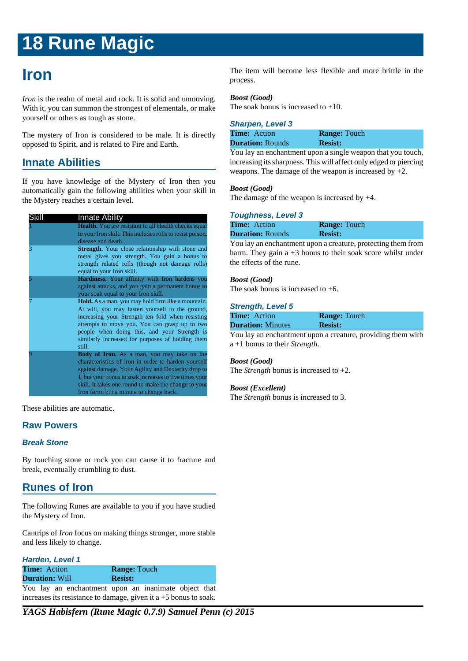## **Iron**

*Iron* is the realm of metal and rock. It is solid and unmoving. With it, you can summon the strongest of elementals, or make yourself or others as tough as stone.

The mystery of Iron is considered to be male. It is directly opposed to Spirit, and is related to Fire and Earth.

## **Innate Abilities**

If you have knowledge of the Mystery of Iron then you automatically gain the following abilities when your skill in the Mystery reaches a certain level.

| Skill | <b>Innate Ability</b>                                       |  |  |
|-------|-------------------------------------------------------------|--|--|
|       | <b>Health.</b> You are resistant to all Health checks equal |  |  |
|       | to your Iron skill. This includes rolls to resist poison,   |  |  |
|       | disease and death.                                          |  |  |
| 3     | <b>Strength.</b> Your close relationship with stone and     |  |  |
|       | metal gives you strength. You gain a bonus to               |  |  |
|       | strength related rolls (though not damage rolls)            |  |  |
|       | equal to your Iron skill.                                   |  |  |
|       | Hardiness. Your affinity with Iron hardens you              |  |  |
|       | against attacks, and you gain a permanent bonus to          |  |  |
|       | your soak equal to your Iron skill.                         |  |  |
|       | <b>Hold.</b> As a man, you may hold firm like a mountain.   |  |  |
|       | At will, you may fasten yourself to the ground,             |  |  |
|       | increasing your Strength ten fold when resisting            |  |  |
|       | attempts to move you. You can grasp up to two               |  |  |
|       | people when doing this, and your Strength is                |  |  |
|       | similarly increased for purposes of holding them            |  |  |
|       | still.                                                      |  |  |
|       | Body of Iron. As a man, you may take on the                 |  |  |
|       | characteristics of iron in order to harden yourself         |  |  |
|       | against damage. Your Agility and Dexterity drop to          |  |  |
|       | 1, but your bonus to soak increases to five times your      |  |  |
|       | skill. It takes one round to make the change to your        |  |  |
|       | Iron form, but a minute to change back.                     |  |  |

These abilities are automatic.

## **Raw Powers**

#### **Break Stone**

By touching stone or rock you can cause it to fracture and break, eventually crumbling to dust.

## **Runes of Iron**

The following Runes are available to you if you have studied the Mystery of Iron.

Cantrips of *Iron* focus on making things stronger, more stable and less likely to change.

| <b>Harden, Level 1</b> |  |  |                                                      |  |  |  |  |  |
|------------------------|--|--|------------------------------------------------------|--|--|--|--|--|
| <b>Time:</b> Action    |  |  | <b>Range: Touch</b>                                  |  |  |  |  |  |
| <b>Duration: Will</b>  |  |  | <b>Resist:</b>                                       |  |  |  |  |  |
|                        |  |  | You lay an enchantment upon an inanimate object that |  |  |  |  |  |

increases its resistance to damage, given it a +5 bonus to soak.

*YAGS Habisfern (Rune Magic 0.7.9) Samuel Penn (c) 2015*

The item will become less flexible and more brittle in the process.

#### *Boost (Good)*

The soak bonus is increased to  $+10$ .

| <b>Sharpen, Level 3</b> |                     |  |
|-------------------------|---------------------|--|
| <b>Time:</b> Action     | <b>Range: Touch</b> |  |
| <b>Duration: Rounds</b> | <b>Resist:</b>      |  |
|                         |                     |  |

You lay an enchantment upon a single weapon that you touch, increasing its sharpness. This will affect only edged or piercing weapons. The damage of the weapon is increased by +2.

#### *Boost (Good)*

The damage of the weapon is increased by +4.

#### **Toughness, Level 3**

| <b>Time:</b> Action     | <b>Range:</b> Touch |
|-------------------------|---------------------|
| <b>Duration: Rounds</b> | <b>Resist:</b>      |

You lay an enchantment upon a creature, protecting them from harm. They gain a +3 bonus to their soak score whilst under the effects of the rune.

#### *Boost (Good)*

The soak bonus is increased to  $+6$ .

#### **Strength, Level 5**

| <b>Time:</b> Action      | <b>Range: Touch</b> |
|--------------------------|---------------------|
| <b>Duration:</b> Minutes | <b>Resist:</b>      |

You lay an enchantment upon a creature, providing them with a +1 bonus to their *Strength*.

#### *Boost (Good)*

The *Strength* bonus is increased to +2.

#### *Boost (Excellent)*

The *Strength* bonus is increased to 3.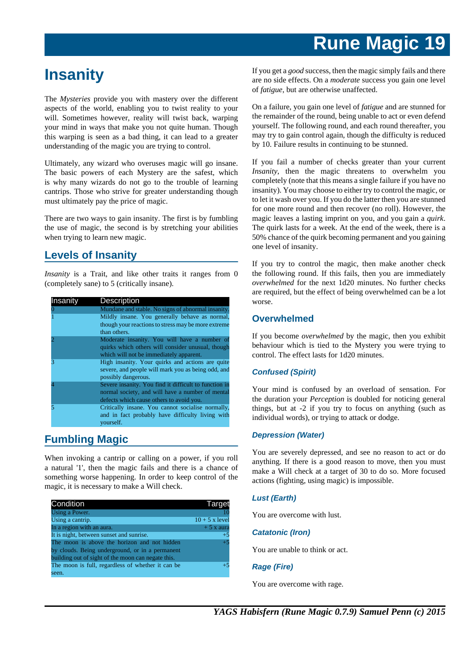## **Insanity**

The *Mysteries* provide you with mastery over the different aspects of the world, enabling you to twist reality to your will. Sometimes however, reality will twist back, warping your mind in ways that make you not quite human. Though this warping is seen as a bad thing, it can lead to a greater understanding of the magic you are trying to control.

Ultimately, any wizard who overuses magic will go insane. The basic powers of each Mystery are the safest, which is why many wizards do not go to the trouble of learning cantrips. Those who strive for greater understanding though must ultimately pay the price of magic.

There are two ways to gain insanity. The first is by fumbling the use of magic, the second is by stretching your abilities when trying to learn new magic.

## **Levels of Insanity**

*Insanity* is a Trait, and like other traits it ranges from 0 (completely sane) to 5 (critically insane).

| Insanity | Description                                                                                                                                           |
|----------|-------------------------------------------------------------------------------------------------------------------------------------------------------|
|          | Mundane and stable. No signs of abnormal insanity.                                                                                                    |
|          | Mildly insane. You generally behave as normal,<br>though your reactions to stress may be more extreme<br>than others.                                 |
|          | Moderate insanity. You will have a number of<br>quirks which others will consider unusual, though<br>which will not be immediately apparent.          |
|          | High insanity. Your quirks and actions are quite<br>severe, and people will mark you as being odd, and<br>possibly dangerous.                         |
|          | Severe insanity. You find it difficult to function in<br>normal society, and will have a number of mental<br>defects which cause others to avoid you. |
|          | Critically insane. You cannot socialise normally,<br>and in fact probably have difficulty living with<br>yourself.                                    |

## **Fumbling Magic**

When invoking a cantrip or calling on a power, if you roll a natural '1', then the magic fails and there is a chance of something worse happening. In order to keep control of the magic, it is necessary to make a Will check.

| <b>Condition</b>                                   | Target          |
|----------------------------------------------------|-----------------|
| Using a Power.                                     |                 |
| Using a cantrip.                                   | $10 + 5x$ level |
| In a region with an aura.                          | $+5x$ aura      |
| It is night, between sunset and sunrise.           | $+5$            |
| The moon is above the horizon and not hidden       | $+5$            |
| by clouds. Being underground, or in a permanent    |                 |
| building out of sight of the moon can negate this. |                 |
| The moon is full, regardless of whether it can be. | $+5$            |
| seen.                                              |                 |

If you get a *good* success, then the magic simply fails and there are no side effects. On a *moderate* success you gain one level of *fatigue*, but are otherwise unaffected.

On a failure, you gain one level of *fatigue* and are stunned for the remainder of the round, being unable to act or even defend yourself. The following round, and each round thereafter, you may try to gain control again, though the difficulty is reduced by 10. Failure results in continuing to be stunned.

If you fail a number of checks greater than your current *Insanity*, then the magic threatens to overwhelm you completely (note that this means a single failure if you have no insanity). You may choose to either try to control the magic, or to let it wash over you. If you do the latter then you are stunned for one more round and then recover (no roll). However, the magic leaves a lasting imprint on you, and you gain a *quirk*. The quirk lasts for a week. At the end of the week, there is a 50% chance of the quirk becoming permanent and you gaining one level of insanity.

If you try to control the magic, then make another check the following round. If this fails, then you are immediately *overwhelmed* for the next 1d20 minutes. No further checks are required, but the effect of being overwhelmed can be a lot worse.

## **Overwhelmed**

If you become *overwhelmed* by the magic, then you exhibit behaviour which is tied to the Mystery you were trying to control. The effect lasts for 1d20 minutes.

## **Confused (Spirit)**

Your mind is confused by an overload of sensation. For the duration your *Perception* is doubled for noticing general things, but at -2 if you try to focus on anything (such as individual words), or trying to attack or dodge.

## **Depression (Water)**

You are severely depressed, and see no reason to act or do anything. If there is a good reason to move, then you must make a Will check at a target of 30 to do so. More focused actions (fighting, using magic) is impossible.

## **Lust (Earth)**

You are overcome with lust.

## **Catatonic (Iron)**

You are unable to think or act.

## **Rage (Fire)**

You are overcome with rage.